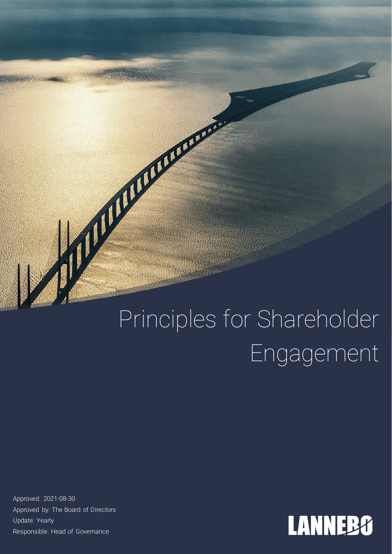# Principles for Shareholder Engagement

Approved: 2021-08-30 Approved by: The Board of Directors Update: Yearly Responsible: Head of Governance

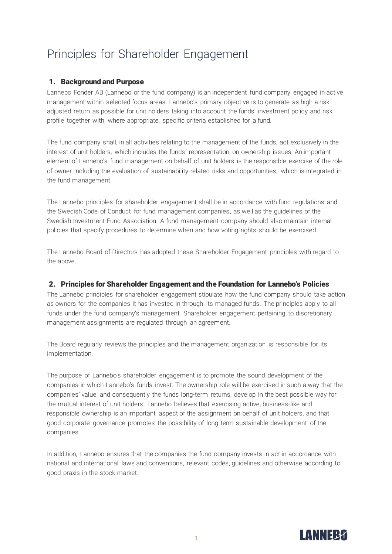# Principles for Shareholder Engagement

### 1. Background and Purpose

Lannebo Fonder AB (Lannebo or the fund company) is an independent fund company engaged in active management within selected focus areas. Lannebo's primary objective is to generate as high a riskadjusted return as possible for unit holders taking into account the funds' investment policy and risk profile together with, where appropriate, specific criteria established for a fund.

The fund company shall, in all activities relating to the management of the funds, act exclusively in the interest of unit holders, which includes the funds' representation on ownership issues. An important element of Lannebo's fund management on behalf of unit holders is the responsible exercise of the role of owner including the evaluation of sustainability-related risks and opportunities, which is integrated in the fund management.

The Lannebo principles for shareholder engagement shall be in accordance with fund regulations and the Swedish Code of Conduct for fund management companies, as well as the guidelines of the Swedish Investment Fund Association. A fund management company should also maintain internal policies that specify procedures to determine when and how voting rights should be exercised.

The Lannebo Board of Directors has adopted these Shareholder Engagement principles with regard to the above.

## 2. Principles for Shareholder Engagement and the Foundation for Lannebo's Policies

The Lannebo principles for shareholder engagement stipulate how the fund company should take action as owners for the companies it has invested in through its managed funds. The principles apply to all funds under the fund company's management. Shareholder engagement pertaining to discretionary management assignments are regulated through an agreement.

The Board regularly reviews the principles and the management organization is responsible for its implementation.

The purpose of Lannebo's shareholder engagement is to promote the sound development of the companies in which Lannebo's funds invest. The ownership role will be exercised in such a way that the companies' value, and consequently the funds long-term returns, develop in the best possible way for the mutual interest of unit holders. Lannebo believes that exercising active, business-like and responsible ownership is an important aspect of the assignment on behalf of unit holders, and that good corporate governance promotes the possibility of long-term sustainable development of the companies.

In addition, Lannebo ensures that the companies the fund company invests in act in accordance with national and international laws and conventions, relevant codes, guidelines and otherwise according to good praxis in the stock market.

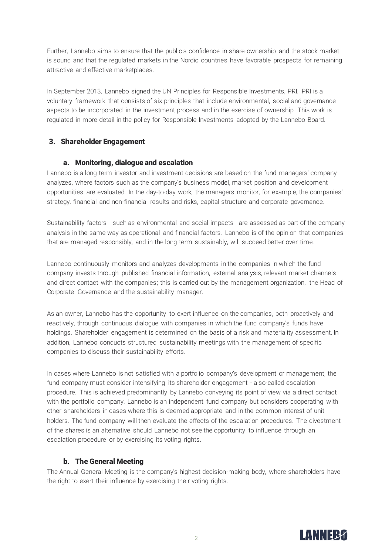Further, Lannebo aims to ensure that the public's confidence in share-ownership and the stock market is sound and that the regulated markets in the Nordic countries have favorable prospects for remaining attractive and effective marketplaces.

In September 2013, Lannebo signed the UN Principles for Responsible Investments, PRI. PRI is a voluntary framework that consists of six principles that include environmental, social and governance aspects to be incorporated in the investment process and in the exercise of ownership. This work is regulated in more detail in the policy for Responsible Investments adopted by the Lannebo Board.

### 3. Shareholder Engagement

### a. Monitoring, dialogue and escalation

Lannebo is a long-term investor and investment decisions are based on the fund managers' company analyzes, where factors such as the company's business model, market position and development opportunities are evaluated. In the day-to-day work, the managers monitor, for example, the companies' strategy, financial and non-financial results and risks, capital structure and corporate governance.

Sustainability factors - such as environmental and social impacts - are assessed as part of the company analysis in the same way as operational and financial factors. Lannebo is of the opinion that companies that are managed responsibly, and in the long-term sustainably, will succeed better over time.

Lannebo continuously monitors and analyzes developments in the companies in which the fund company invests through published financial information, external analysis, relevant market channels and direct contact with the companies; this is carried out by the management organization, the Head of Corporate Governance and the sustainability manager.

As an owner, Lannebo has the opportunity to exert influence on the companies, both proactively and reactively, through continuous dialogue with companies in which the fund company's funds have holdings. Shareholder engagement is determined on the basis of a risk and materiality assessment. In addition, Lannebo conducts structured sustainability meetings with the management of specific companies to discuss their sustainability efforts.

In cases where Lannebo is not satisfied with a portfolio company's development or management, the fund company must consider intensifying its shareholder engagement - a so-called escalation procedure. This is achieved predominantly by Lannebo conveying its point of view via a direct contact with the portfolio company. Lannebo is an independent fund company but considers cooperating with other shareholders in cases where this is deemed appropriate and in the common interest of unit holders. The fund company will then evaluate the effects of the escalation procedures. The divestment of the shares is an alternative should Lannebo not see the opportunity to influence through an escalation procedure or by exercising its voting rights.

### b. The General Meeting

The Annual General Meeting is the company's highest decision-making body, where shareholders have the right to exert their influence by exercising their voting rights.

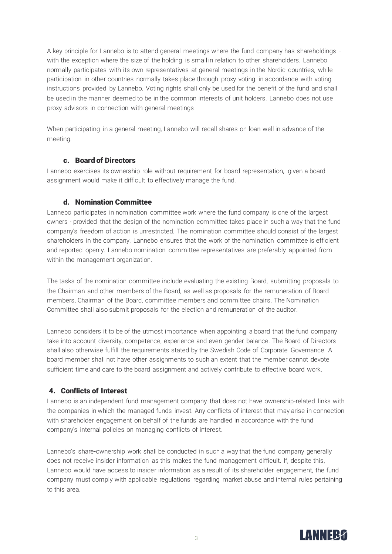A key principle for Lannebo is to attend general meetings where the fund company has shareholdings with the exception where the size of the holding is small in relation to other shareholders. Lannebo normally participates with its own representatives at general meetings in the Nordic countries, while participation in other countries normally takes place through proxy voting in accordance with voting instructions provided by Lannebo. Voting rights shall only be used for the benefit of the fund and shall be used in the manner deemed to be in the common interests of unit holders. Lannebo does not use proxy advisors in connection with general meetings.

When participating in a general meeting, Lannebo will recall shares on loan well in advance of the meeting.

### c. Board of Directors

Lannebo exercises its ownership role without requirement for board representation, given a board assignment would make it difficult to effectively manage the fund.

### d. Nomination Committee

Lannebo participates in nomination committee work where the fund company is one of the largest owners - provided that the design of the nomination committee takes place in such a way that the fund company's freedom of action is unrestricted. The nomination committee should consist of the largest shareholders in the company. Lannebo ensures that the work of the nomination committee is efficient and reported openly. Lannebo nomination committee representatives are preferably appointed from within the management organization.

The tasks of the nomination committee include evaluating the existing Board, submitting proposals to the Chairman and other members of the Board, as well as proposals for the remuneration of Board members, Chairman of the Board, committee members and committee chairs. The Nomination Committee shall also submit proposals for the election and remuneration of the auditor.

Lannebo considers it to be of the utmost importance when appointing a board that the fund company take into account diversity, competence, experience and even gender balance. The Board of Directors shall also otherwise fulfill the requirements stated by the Swedish Code of Corporate Governance. A board member shall not have other assignments to such an extent that the member cannot devote sufficient time and care to the board assignment and actively contribute to effective board work.

# 4. Conflicts of Interest

Lannebo is an independent fund management company that does not have ownership-related links with the companies in which the managed funds invest. Any conflicts of interest that may arise in connection with shareholder engagement on behalf of the funds are handled in accordance with the fund company's internal policies on managing conflicts of interest.

Lannebo's share-ownership work shall be conducted in such a way that the fund company generally does not receive insider information as this makes the fund management difficult. If, despite this, Lannebo would have access to insider information as a result of its shareholder engagement, the fund company must comply with applicable regulations regarding market abuse and internal rules pertaining to this area.